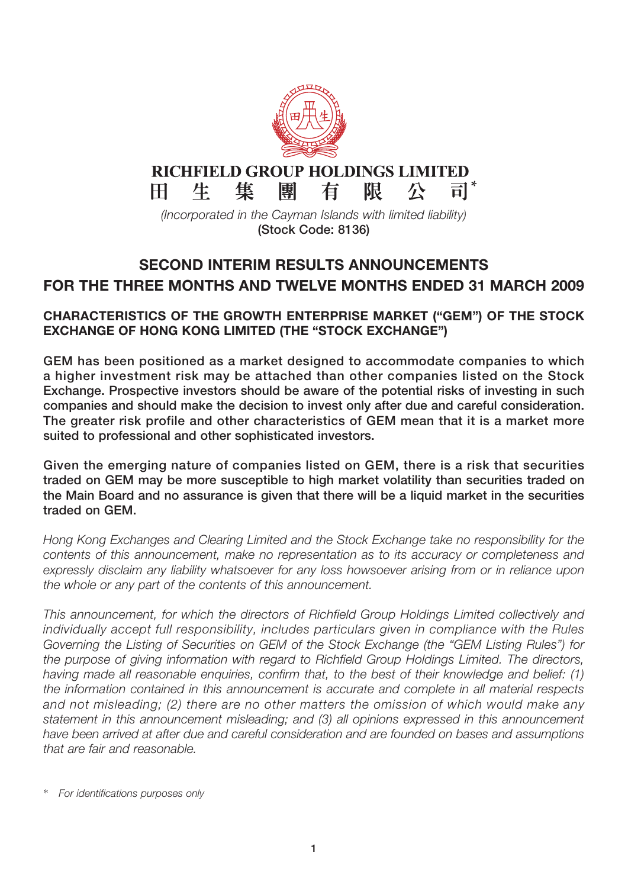

## **RICHFIELD GROUP HOLDINGS LIMITED**

 $H^+$ 

 $\overline{\overline{\mathsf{H}}}$   $^*$ 隼 團 有 限 生 尽

*(Incorporated in the Cayman Islands with limited liability)* **(Stock Code: 8136)**

### **SECOND INTERIM RESULTS ANNOUNCEMENTS FOR THE THREE MONTHS AND TWELVE MONTHS ENDED 31 MARCH 2009**

#### **CHARACTERISTICS OF THE GROWTH ENTERPRISE MARKET ("GEM") OF THE STOCK EXCHANGE OF HONG KONG LIMITED (THE "STOCK EXCHANGE")**

**GEM has been positioned as a market designed to accommodate companies to which a higher investment risk may be attached than other companies listed on the Stock Exchange. Prospective investors should be aware of the potential risks of investing in such companies and should make the decision to invest only after due and careful consideration. The greater risk profile and other characteristics of GEM mean that it is a market more suited to professional and other sophisticated investors.**

**Given the emerging nature of companies listed on GEM, there is a risk that securities traded on GEM may be more susceptible to high market volatility than securities traded on the Main Board and no assurance is given that there will be a liquid market in the securities traded on GEM.**

*Hong Kong Exchanges and Clearing Limited and the Stock Exchange take no responsibility for the contents of this announcement, make no representation as to its accuracy or completeness and expressly disclaim any liability whatsoever for any loss howsoever arising from or in reliance upon the whole or any part of the contents of this announcement.*

*This announcement, for which the directors of Richfield Group Holdings Limited collectively and individually accept full responsibility, includes particulars given in compliance with the Rules Governing the Listing of Securities on GEM of the Stock Exchange (the "GEM Listing Rules") for the purpose of giving information with regard to Richfield Group Holdings Limited. The directors, having made all reasonable enquiries, confirm that, to the best of their knowledge and belief: (1) the information contained in this announcement is accurate and complete in all material respects and not misleading; (2) there are no other matters the omission of which would make any statement in this announcement misleading; and (3) all opinions expressed in this announcement have been arrived at after due and careful consideration and are founded on bases and assumptions that are fair and reasonable.*

<sup>\*</sup> *For identifications purposes only*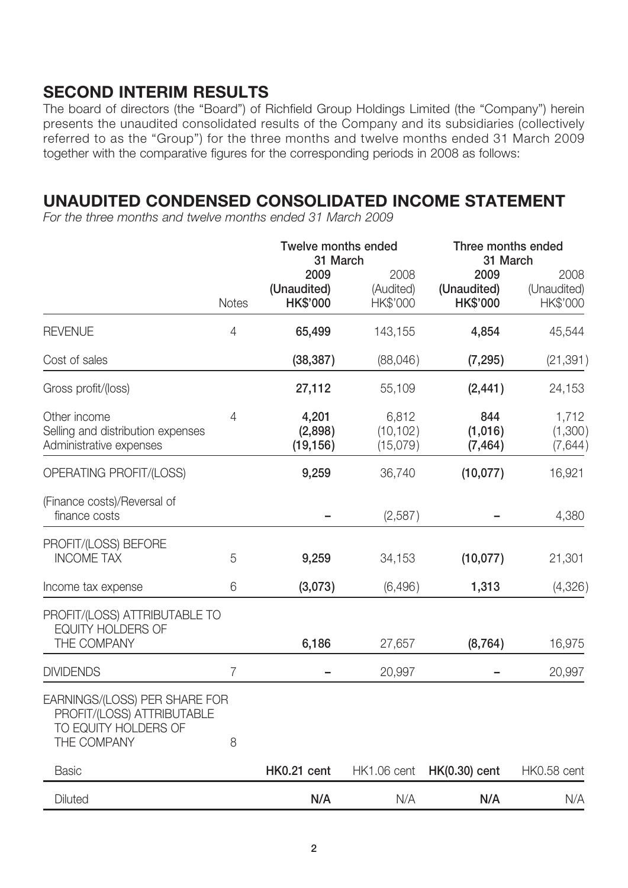## **SECOND INTERIM RESULTS**

The board of directors (the "Board") of Richfield Group Holdings Limited (the "Company") herein presents the unaudited consolidated results of the Company and its subsidiaries (collectively referred to as the "Group") for the three months and twelve months ended 31 March 2009 together with the comparative figures for the corresponding periods in 2008 as follows:

### **UNAUDITED CONDENSED CONSOLIDATED INCOME STATEMENT**

*For the three months and twelve months ended 31 March 2009*

|                                                                                                    |              | <b>Twelve months ended</b><br>31 March |                                | Three months ended<br>31 March         |                                 |
|----------------------------------------------------------------------------------------------------|--------------|----------------------------------------|--------------------------------|----------------------------------------|---------------------------------|
|                                                                                                    | <b>Notes</b> | 2009<br>(Unaudited)<br><b>HK\$'000</b> | 2008<br>(Audited)<br>HK\$'000  | 2009<br>(Unaudited)<br><b>HK\$'000</b> | 2008<br>(Unaudited)<br>HK\$'000 |
| <b>REVENUE</b>                                                                                     | 4            | 65,499                                 | 143,155                        | 4,854                                  | 45,544                          |
| Cost of sales                                                                                      |              | (38, 387)                              | (88,046)                       | (7, 295)                               | (21, 391)                       |
| Gross profit/(loss)                                                                                |              | 27,112                                 | 55,109                         | (2, 441)                               | 24,153                          |
| Other income<br>Selling and distribution expenses<br>Administrative expenses                       | 4            | 4,201<br>(2,898)<br>(19, 156)          | 6,812<br>(10, 102)<br>(15,079) | 844<br>(1,016)<br>(7, 464)             | 1,712<br>(1,300)<br>(7,644)     |
| OPERATING PROFIT/(LOSS)                                                                            |              | 9,259                                  | 36,740                         | (10,077)                               | 16,921                          |
| (Finance costs)/Reversal of<br>finance costs                                                       |              |                                        | (2,587)                        |                                        | 4,380                           |
| PROFIT/(LOSS) BEFORE<br><b>INCOME TAX</b>                                                          | 5            | 9,259                                  | 34,153                         | (10,077)                               | 21,301                          |
| Income tax expense                                                                                 | 6            | (3,073)                                | (6,496)                        | 1,313                                  | (4,326)                         |
| PROFIT/(LOSS) ATTRIBUTABLE TO<br><b>EQUITY HOLDERS OF</b><br>THE COMPANY                           |              | 6,186                                  | 27,657                         | (8, 764)                               | 16,975                          |
| <b>DIVIDENDS</b>                                                                                   | 7            |                                        | 20,997                         |                                        | 20,997                          |
| EARNINGS/(LOSS) PER SHARE FOR<br>PROFIT/(LOSS) ATTRIBUTABLE<br>TO EQUITY HOLDERS OF<br>THE COMPANY | 8            |                                        |                                |                                        |                                 |
| <b>Basic</b>                                                                                       |              | HK0.21 cent                            | HK1.06 cent                    | <b>HK(0.30)</b> cent                   | HK0.58 cent                     |
| Diluted                                                                                            |              | N/A                                    | N/A                            | N/A                                    | N/A                             |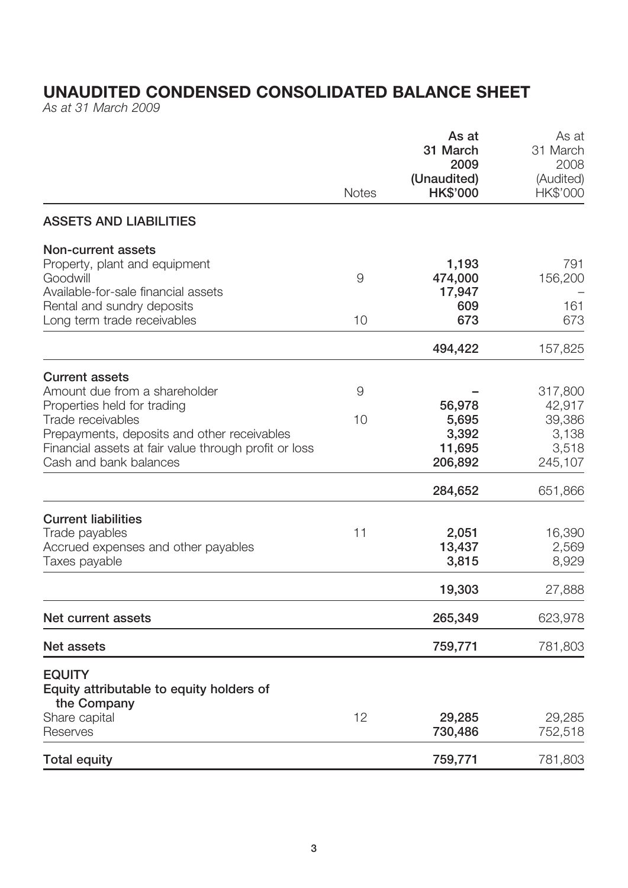# **UNAUDITED CONDENSED CONSOLIDATED BALANCE SHEET**

*As at 31 March 2009*

|                                                                                                                                                                                                                                              |              | As at<br>31 March<br>2009                     | As at<br>31 March<br>2008                                |
|----------------------------------------------------------------------------------------------------------------------------------------------------------------------------------------------------------------------------------------------|--------------|-----------------------------------------------|----------------------------------------------------------|
|                                                                                                                                                                                                                                              | <b>Notes</b> | (Unaudited)<br><b>HK\$'000</b>                | (Audited)<br>HK\$'000                                    |
| <b>ASSETS AND LIABILITIES</b>                                                                                                                                                                                                                |              |                                               |                                                          |
| <b>Non-current assets</b><br>Property, plant and equipment<br>Goodwill<br>Available-for-sale financial assets                                                                                                                                | 9            | 1,193<br>474,000<br>17,947                    | 791<br>156,200                                           |
| Rental and sundry deposits<br>Long term trade receivables                                                                                                                                                                                    | 10           | 609<br>673                                    | 161<br>673                                               |
|                                                                                                                                                                                                                                              |              | 494,422                                       | 157,825                                                  |
| <b>Current assets</b><br>Amount due from a shareholder<br>Properties held for trading<br>Trade receivables<br>Prepayments, deposits and other receivables<br>Financial assets at fair value through profit or loss<br>Cash and bank balances | 9<br>10      | 56,978<br>5,695<br>3,392<br>11,695<br>206,892 | 317,800<br>42,917<br>39,386<br>3,138<br>3,518<br>245,107 |
|                                                                                                                                                                                                                                              |              | 284,652                                       | 651,866                                                  |
| <b>Current liabilities</b><br>Trade payables<br>Accrued expenses and other payables<br>Taxes payable                                                                                                                                         | 11           | 2,051<br>13,437<br>3,815                      | 16,390<br>2,569<br>8,929                                 |
|                                                                                                                                                                                                                                              |              | 19,303                                        | 27,888                                                   |
| Net current assets                                                                                                                                                                                                                           |              | 265,349                                       | 623,978                                                  |
| Net assets                                                                                                                                                                                                                                   |              | 759,771                                       | 781,803                                                  |
| <b>EQUITY</b><br>Equity attributable to equity holders of<br>the Company                                                                                                                                                                     |              |                                               |                                                          |
| Share capital<br>Reserves                                                                                                                                                                                                                    | 12           | 29,285<br>730,486                             | 29,285<br>752,518                                        |
| <b>Total equity</b>                                                                                                                                                                                                                          |              | 759,771                                       | 781,803                                                  |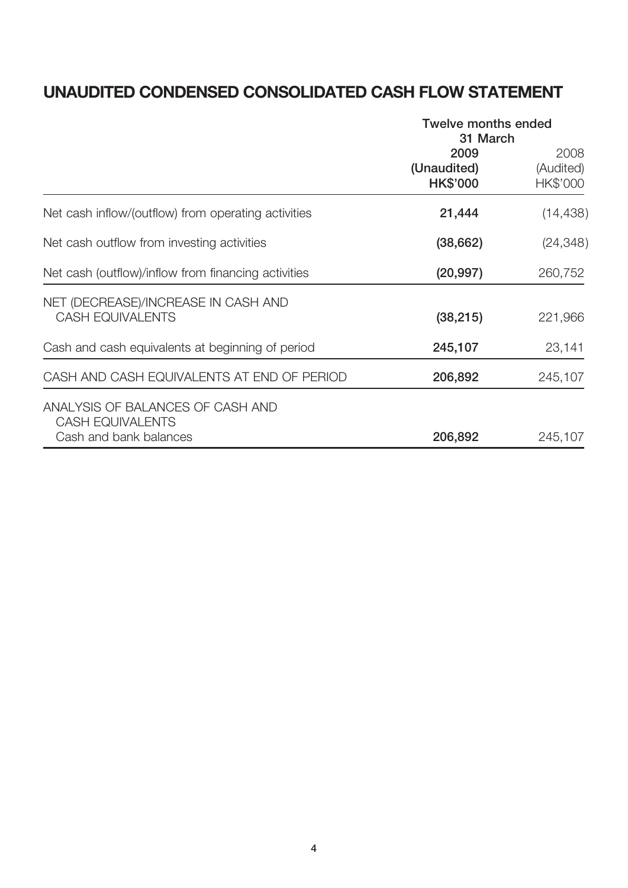# **UNAUDITED CONDENSED CONSOLIDATED CASH FLOW STATEMENT**

|                                                                                       | <b>Twelve months ended</b><br>31 March |                               |  |
|---------------------------------------------------------------------------------------|----------------------------------------|-------------------------------|--|
|                                                                                       | 2009<br>(Unaudited)<br><b>HK\$'000</b> | 2008<br>(Audited)<br>HK\$'000 |  |
| Net cash inflow/(outflow) from operating activities                                   | 21,444                                 | (14, 438)                     |  |
| Net cash outflow from investing activities                                            | (38, 662)                              | (24, 348)                     |  |
| Net cash (outflow)/inflow from financing activities                                   | (20, 997)                              | 260,752                       |  |
| NET (DECREASE)/INCREASE IN CASH AND<br><b>CASH EQUIVALENTS</b>                        | (38, 215)                              | 221,966                       |  |
| Cash and cash equivalents at beginning of period                                      | 245,107                                | 23,141                        |  |
| CASH AND CASH EQUIVALENTS AT END OF PERIOD                                            | 206,892                                | 245,107                       |  |
| ANALYSIS OF BALANCES OF CASH AND<br><b>CASH EQUIVALENTS</b><br>Cash and bank balances | 206,892                                | 245,107                       |  |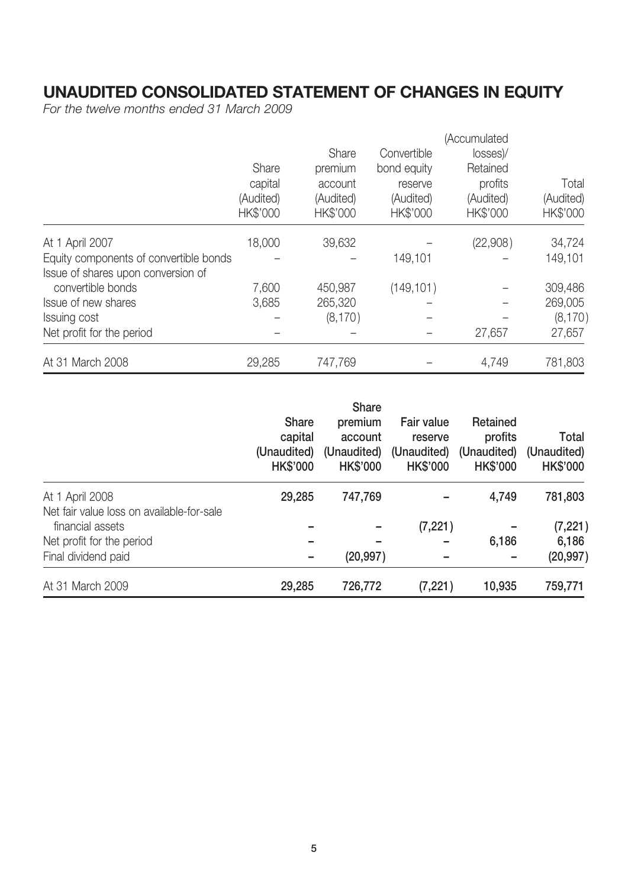## **UNAUDITED CONSOLIDATED STATEMENT OF CHANGES IN EQUITY**

*For the twelve months ended 31 March 2009*

|                                        |           |           |             | (Accumulated |           |
|----------------------------------------|-----------|-----------|-------------|--------------|-----------|
|                                        |           | Share     | Convertible | losses)/     |           |
|                                        | Share     | premium   | bond equity | Retained     |           |
|                                        | capital   | account   | reserve     | profits      | Total     |
|                                        | (Audited) | (Audited) | (Audited)   | (Audited)    | (Audited) |
|                                        | HK\$'000  | HK\$'000  | HK\$'000    | HK\$'000     | HK\$'000  |
| At 1 April 2007                        | 18,000    | 39,632    |             | (22,908)     | 34,724    |
| Equity components of convertible bonds |           |           | 149,101     |              | 149,101   |
| Issue of shares upon conversion of     |           |           |             |              |           |
| convertible bonds                      | 7,600     | 450,987   | (149, 101)  |              | 309,486   |
| Issue of new shares                    | 3,685     | 265,320   |             |              | 269,005   |
| Issuing cost                           |           | (8, 170)  |             |              | (8,170)   |
| Net profit for the period              |           |           |             | 27,657       | 27,657    |
| At 31 March 2008                       | 29,285    | 747,769   |             | 4,749        | 781,803   |

|                                                               | <b>Share</b><br>capital<br>(Unaudited)<br><b>HK\$'000</b> | <b>Share</b><br>premium<br>account<br>(Unaudited)<br><b>HK\$'000</b> | Fair value<br>reserve<br>(Unaudited)<br><b>HK\$'000</b> | Retained<br>profits<br>(Unaudited)<br><b>HK\$'000</b> | Total<br>(Unaudited)<br><b>HK\$'000</b> |
|---------------------------------------------------------------|-----------------------------------------------------------|----------------------------------------------------------------------|---------------------------------------------------------|-------------------------------------------------------|-----------------------------------------|
| At 1 April 2008                                               | 29,285                                                    | 747,769                                                              |                                                         | 4,749                                                 | 781,803                                 |
| Net fair value loss on available-for-sale<br>financial assets |                                                           |                                                                      | (7, 221)                                                |                                                       | (7, 221)                                |
| Net profit for the period                                     |                                                           |                                                                      |                                                         | 6,186                                                 | 6,186                                   |
| Final dividend paid                                           |                                                           | (20, 997)                                                            |                                                         |                                                       | (20, 997)                               |
| At 31 March 2009                                              | 29,285                                                    | 726,772                                                              | (7, 221)                                                | 10,935                                                | 759,771                                 |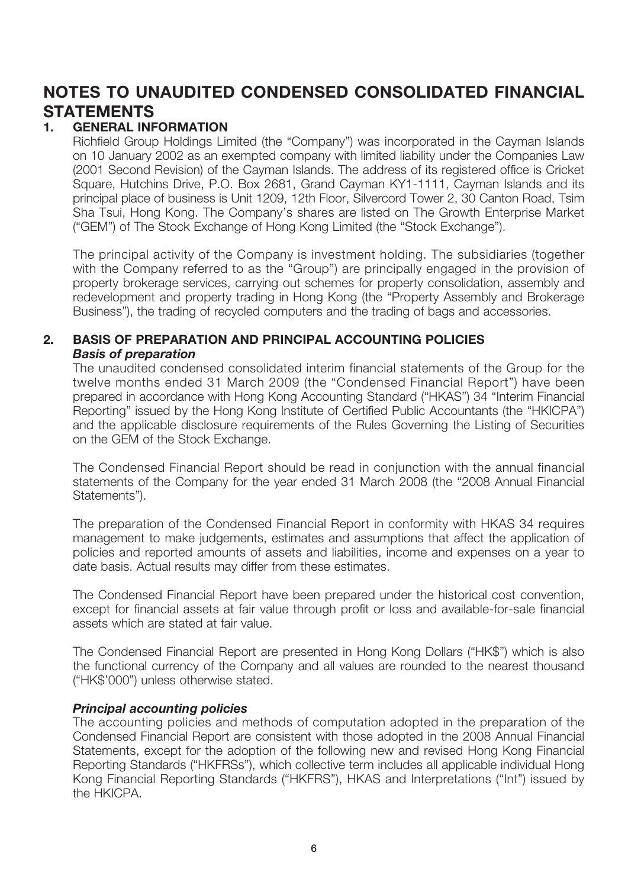## **NOTES TO UNAUDITED CONDENSED CONSOLIDATED FINANCIAL STATEMENTS**

### **1. GENERAL INFORMATION**

Richfield Group Holdings Limited (the "Company") was incorporated in the Cayman Islands on 10 January 2002 as an exempted company with limited liability under the Companies Law (2001 Second Revision) of the Cayman Islands. The address of its registered office is Cricket Square, Hutchins Drive, P.O. Box 2681, Grand Cayman KY1-1111, Cayman Islands and its principal place of business is Unit 1209, 12th Floor, Silvercord Tower 2, 30 Canton Road, Tsim Sha Tsui, Hong Kong. The Company's shares are listed on The Growth Enterprise Market ("GEM") of The Stock Exchange of Hong Kong Limited (the "Stock Exchange").

The principal activity of the Company is investment holding. The subsidiaries (together with the Company referred to as the "Group") are principally engaged in the provision of property brokerage services, carrying out schemes for property consolidation, assembly and redevelopment and property trading in Hong Kong (the "Property Assembly and Brokerage Business"), the trading of recycled computers and the trading of bags and accessories.

#### **2. BASIS OF PREPARATION AND PRINCIPAL ACCOUNTING POLICIES** *Basis of preparation*

The unaudited condensed consolidated interim financial statements of the Group for the twelve months ended 31 March 2009 (the "Condensed Financial Report") have been prepared in accordance with Hong Kong Accounting Standard ("HKAS") 34 "Interim Financial Reporting" issued by the Hong Kong Institute of Certified Public Accountants (the "HKICPA") and the applicable disclosure requirements of the Rules Governing the Listing of Securities on the GEM of the Stock Exchange.

The Condensed Financial Report should be read in conjunction with the annual financial statements of the Company for the year ended 31 March 2008 (the "2008 Annual Financial Statements").

The preparation of the Condensed Financial Report in conformity with HKAS 34 requires management to make judgements, estimates and assumptions that affect the application of policies and reported amounts of assets and liabilities, income and expenses on a year to date basis. Actual results may differ from these estimates.

The Condensed Financial Report have been prepared under the historical cost convention, except for financial assets at fair value through profit or loss and available-for-sale financial assets which are stated at fair value.

The Condensed Financial Report are presented in Hong Kong Dollars ("HK\$") which is also the functional currency of the Company and all values are rounded to the nearest thousand ("HK\$'000") unless otherwise stated.

#### *Principal accounting policies*

The accounting policies and methods of computation adopted in the preparation of the Condensed Financial Report are consistent with those adopted in the 2008 Annual Financial Statements, except for the adoption of the following new and revised Hong Kong Financial Reporting Standards ("HKFRSs"), which collective term includes all applicable individual Hong Kong Financial Reporting Standards ("HKFRS"), HKAS and Interpretations ("Int") issued by the HKICPA.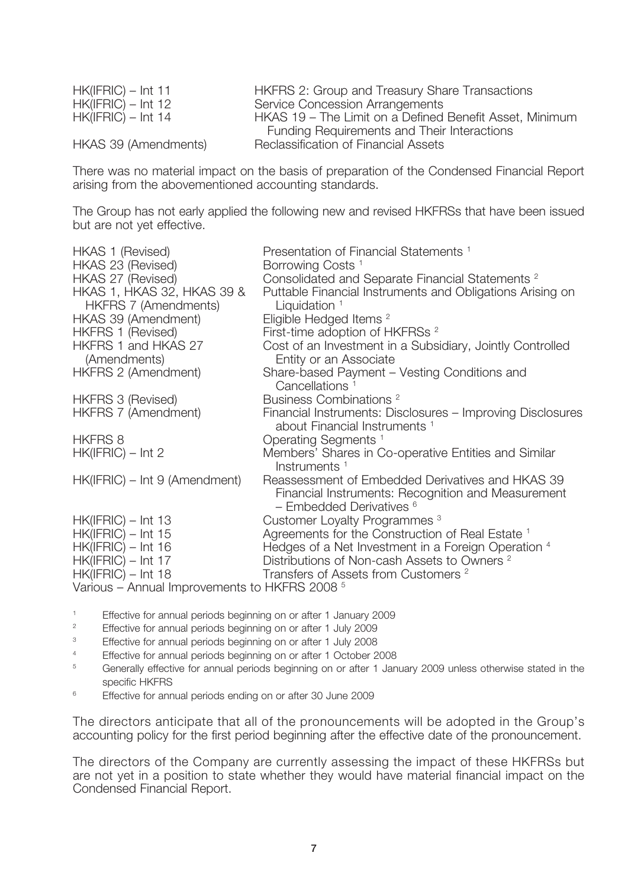HK(IFRIC) – Int 11 HKFRS 2: Group and Treasury Share Transactions HK(IFRIC) – Int 12 Service Concession Arrangements<br>HK(IFRIC) – Int 14 HKAS 19 – The Limit on a Defined HKAS 19 – The Limit on a Defined Benefit Asset, Minimum Funding Requirements and Their Interactions HKAS 39 (Amendments) Reclassification of Financial Assets

There was no material impact on the basis of preparation of the Condensed Financial Report arising from the abovementioned accounting standards.

The Group has not early applied the following new and revised HKFRSs that have been issued but are not yet effective.

| <b>HKAS 1 (Revised)</b>                            | Presentation of Financial Statements <sup>1</sup>                                                                                      |
|----------------------------------------------------|----------------------------------------------------------------------------------------------------------------------------------------|
| HKAS 23 (Revised)                                  | Borrowing Costs <sup>1</sup>                                                                                                           |
| HKAS 27 (Revised)                                  | Consolidated and Separate Financial Statements <sup>2</sup>                                                                            |
| HKAS 1, HKAS 32, HKAS 39 &<br>HKFRS 7 (Amendments) | Puttable Financial Instruments and Obligations Arising on<br>Liquidation $1$                                                           |
| HKAS 39 (Amendment)                                | Eligible Hedged Items <sup>2</sup>                                                                                                     |
| <b>HKFRS 1 (Revised)</b>                           | First-time adoption of HKFRSs <sup>2</sup>                                                                                             |
| HKFRS 1 and HKAS 27<br>(Amendments)                | Cost of an Investment in a Subsidiary, Jointly Controlled<br>Entity or an Associate                                                    |
| <b>HKFRS 2 (Amendment)</b>                         | Share-based Payment – Vesting Conditions and<br>Cancellations                                                                          |
| <b>HKFRS 3 (Revised)</b>                           | Business Combinations <sup>2</sup>                                                                                                     |
| <b>HKFRS 7 (Amendment)</b>                         | Financial Instruments: Disclosures - Improving Disclosures<br>about Financial Instruments <sup>1</sup>                                 |
| HKFRS 8                                            | Operating Segments <sup>1</sup>                                                                                                        |
| $HK(IFRIC) - Int 2$                                | Members' Shares in Co-operative Entities and Similar<br>Instruments <sup>1</sup>                                                       |
| HK(IFRIC) – Int 9 (Amendment)                      | Reassessment of Embedded Derivatives and HKAS 39<br>Financial Instruments: Recognition and Measurement<br>$-$ Embedded Derivatives $6$ |
| $HK(IFRIC) - Int 13$                               | Customer Loyalty Programmes <sup>3</sup>                                                                                               |
| $HK(IFRIC) - Int 15$                               | Agreements for the Construction of Real Estate <sup>1</sup>                                                                            |
| $HK(IFRIC) - Int 16$                               | Hedges of a Net Investment in a Foreign Operation 4                                                                                    |
| $HK(IFRIC) - Int 17$                               | Distributions of Non-cash Assets to Owners <sup>2</sup>                                                                                |
| $HK(IFRIC) - Int 18$                               | Transfers of Assets from Customers <sup>2</sup>                                                                                        |
| $\frac{1}{2}$                                      |                                                                                                                                        |

Various – Annual Improvements to HKFRS 2008 5

- 1 Effective for annual periods beginning on or after 1 January 2009
- $\overline{2}$ Effective for annual periods beginning on or after 1 July 2009
- 3 Effective for annual periods beginning on or after 1 July 2008
- 4 Effective for annual periods beginning on or after 1 October 2008
- 5 Generally effective for annual periods beginning on or after 1 January 2009 unless otherwise stated in the specific HKFRS
- 6 Effective for annual periods ending on or after 30 June 2009

The directors anticipate that all of the pronouncements will be adopted in the Group's accounting policy for the first period beginning after the effective date of the pronouncement.

The directors of the Company are currently assessing the impact of these HKFRSs but are not yet in a position to state whether they would have material financial impact on the Condensed Financial Report.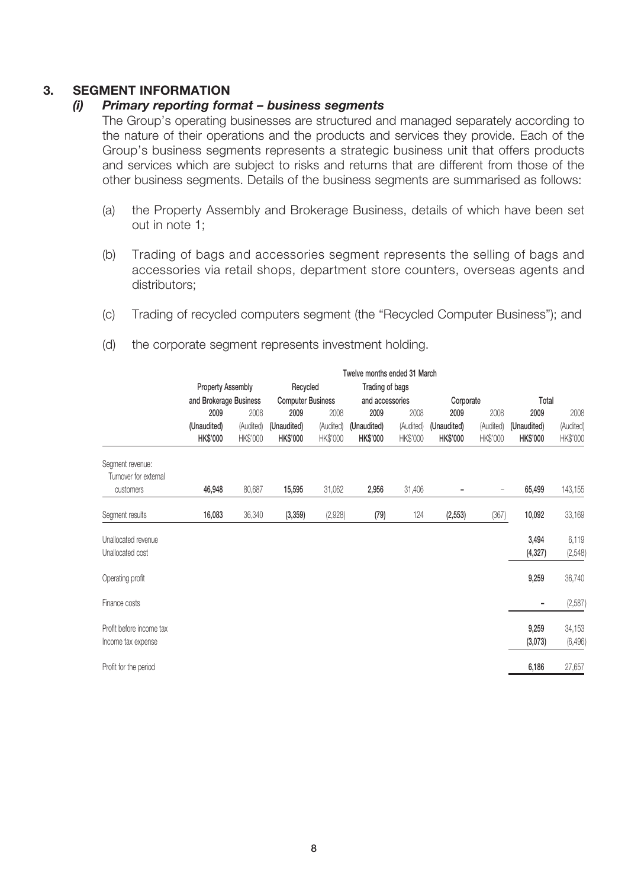#### **3. SEGMENT INFORMATION**

#### *(i) Primary reporting format – business segments*

The Group's operating businesses are structured and managed separately according to the nature of their operations and the products and services they provide. Each of the Group's business segments represents a strategic business unit that offers products and services which are subject to risks and returns that are different from those of the other business segments. Details of the business segments are summarised as follows:

- (a) the Property Assembly and Brokerage Business, details of which have been set out in note 1;
- (b) Trading of bags and accessories segment represents the selling of bags and accessories via retail shops, department store counters, overseas agents and distributors;
- (c) Trading of recycled computers segment (the "Recycled Computer Business"); and

|                                                | Twelve months ended 31 March |           |                          |           |                 |           |                 |           |                   |                    |
|------------------------------------------------|------------------------------|-----------|--------------------------|-----------|-----------------|-----------|-----------------|-----------|-------------------|--------------------|
|                                                | <b>Property Assembly</b>     |           | Recycled                 |           | Trading of bags |           |                 |           |                   |                    |
|                                                | and Brokerage Business       |           | <b>Computer Business</b> |           | and accessories |           | Corporate       |           | Total             |                    |
|                                                | 2009                         | 2008      | 2009                     | 2008      | 2009            | 2008      | 2009            | 2008      | 2009              | 2008               |
|                                                | (Unaudited)                  | (Audited) | (Unaudited)              | (Audited) | (Unaudited)     | (Audited) | (Unaudited)     | (Audited) | (Unaudited)       | (Audited)          |
|                                                | <b>HK\$'000</b>              | HK\$'000  | <b>HK\$'000</b>          | HK\$'000  | <b>HK\$'000</b> | HK\$'000  | <b>HK\$'000</b> | HK\$'000  | HK\$'000          | HK\$'000           |
| Segment revenue:<br>Turnover for external      |                              |           |                          |           |                 |           |                 |           |                   |                    |
| customers                                      | 46,948                       | 80,687    | 15,595                   | 31,062    | 2,956           | 31,406    |                 |           | 65,499            | 143,155            |
| Segment results                                | 16,083                       | 36,340    | (3, 359)                 | (2,928)   | (79)            | 124       | (2, 553)        | (367)     | 10,092            | 33,169             |
| Unallocated revenue<br>Unallocated cost        |                              |           |                          |           |                 |           |                 |           | 3,494<br>(4, 327) | 6,119<br>(2, 548)  |
| Operating profit                               |                              |           |                          |           |                 |           |                 |           | 9,259             | 36,740             |
| Finance costs                                  |                              |           |                          |           |                 |           |                 |           |                   | (2, 587)           |
| Profit before income tax<br>Income tax expense |                              |           |                          |           |                 |           |                 |           | 9,259<br>(3,073)  | 34,153<br>(6, 496) |
| Profit for the period                          |                              |           |                          |           |                 |           |                 |           | 6,186             | 27,657             |

(d) the corporate segment represents investment holding.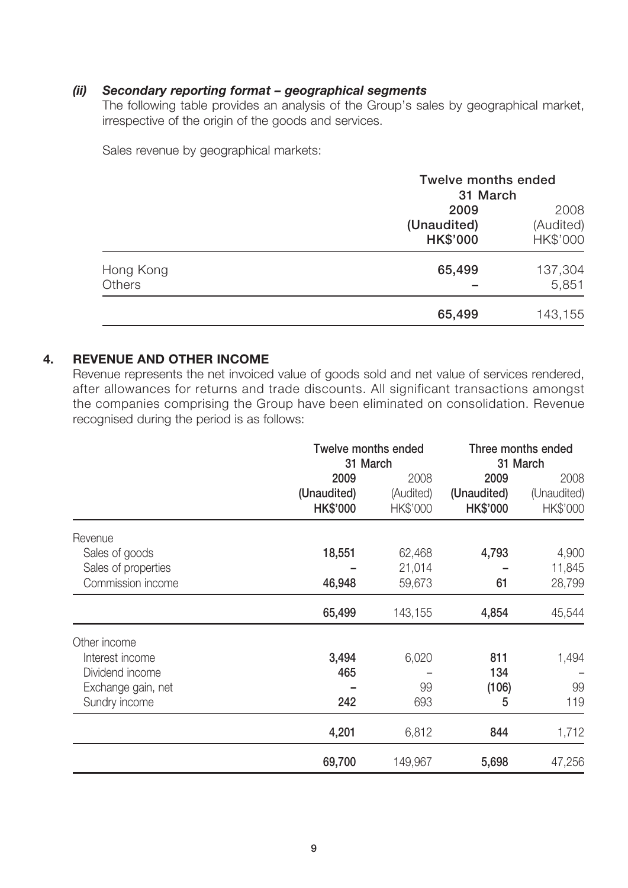#### *(ii) Secondary reporting format – geographical segments*

The following table provides an analysis of the Group's sales by geographical market, irrespective of the origin of the goods and services.

Sales revenue by geographical markets:

|               | <b>Twelve months ended</b> |           |  |
|---------------|----------------------------|-----------|--|
|               | 31 March                   |           |  |
|               | 2009                       | 2008      |  |
|               | (Unaudited)                | (Audited) |  |
|               | <b>HK\$'000</b>            | HK\$'000  |  |
| Hong Kong     | 65,499                     | 137,304   |  |
| <b>Others</b> |                            | 5,851     |  |
|               | 65,499                     | 143,155   |  |

#### **4. REVENUE AND OTHER INCOME**

Revenue represents the net invoiced value of goods sold and net value of services rendered, after allowances for returns and trade discounts. All significant transactions amongst the companies comprising the Group have been eliminated on consolidation. Revenue recognised during the period is as follows:

|                                                                                           | <b>Twelve months ended</b><br>31 March | Three months ended<br>31 March |                          |                    |
|-------------------------------------------------------------------------------------------|----------------------------------------|--------------------------------|--------------------------|--------------------|
|                                                                                           | 2009                                   | 2008                           | 2009                     | 2008               |
|                                                                                           | (Unaudited)                            | (Audited)                      | (Unaudited)              | (Unaudited)        |
|                                                                                           | <b>HK\$'000</b>                        | HK\$'000                       | <b>HK\$'000</b>          | HK\$'000           |
| Revenue<br>Sales of goods<br>Sales of properties                                          | 18,551                                 | 62,468<br>21,014               | 4,793                    | 4,900<br>11,845    |
| Commission income                                                                         | 46,948                                 | 59,673                         | 61                       | 28,799             |
|                                                                                           | 65,499                                 | 143,155                        | 4,854                    | 45,544             |
| Other income<br>Interest income<br>Dividend income<br>Exchange gain, net<br>Sundry income | 3,494<br>465<br>242                    | 6,020<br>99<br>693             | 811<br>134<br>(106)<br>5 | 1,494<br>99<br>119 |
|                                                                                           | 4,201                                  | 6,812                          | 844                      | 1,712              |
|                                                                                           | 69,700                                 | 149,967                        | 5,698                    | 47,256             |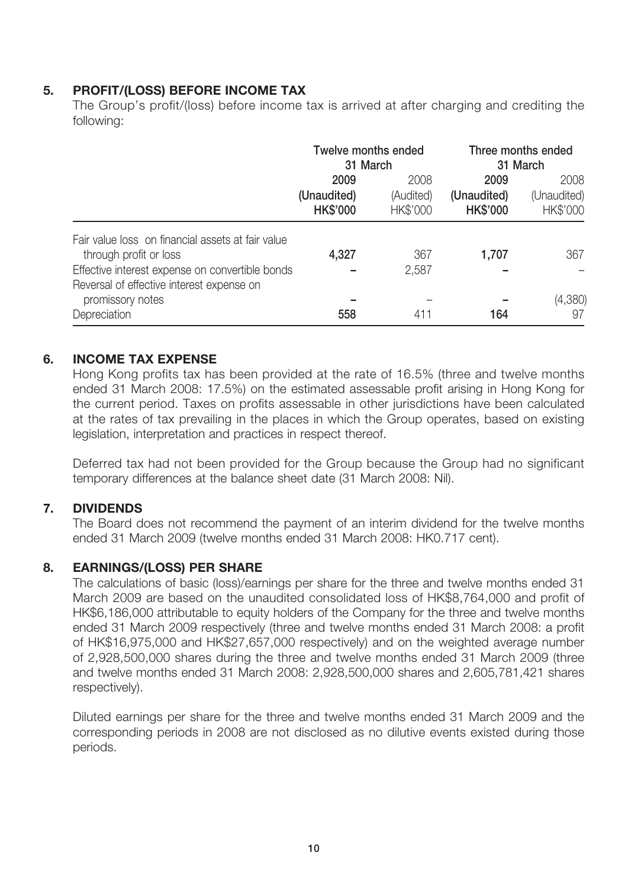### **5. PROFIT/(LOSS) BEFORE INCOME TAX**

The Group's profit/(loss) before income tax is arrived at after charging and crediting the following:

|                                                                                                                                | Twelve months ended<br>31 March        |                                                                         |       | Three months ended<br>31 March  |
|--------------------------------------------------------------------------------------------------------------------------------|----------------------------------------|-------------------------------------------------------------------------|-------|---------------------------------|
|                                                                                                                                | 2009<br>(Unaudited)<br><b>HK\$'000</b> | 2008<br>2009<br>(Audited)<br>(Unaudited)<br><b>HK\$'000</b><br>HK\$'000 |       | 2008<br>(Unaudited)<br>HK\$'000 |
| Fair value loss on financial assets at fair value<br>through profit or loss<br>Effective interest expense on convertible bonds | 4,327                                  | 367<br>2,587                                                            | 1,707 | 367                             |
| Reversal of effective interest expense on<br>promissory notes<br>Depreciation                                                  | 558                                    | 411                                                                     | 164   | (4,380)<br>97                   |

#### **6. INCOME TAX EXPENSE**

Hong Kong profits tax has been provided at the rate of 16.5% (three and twelve months ended 31 March 2008: 17.5%) on the estimated assessable profit arising in Hong Kong for the current period. Taxes on profits assessable in other jurisdictions have been calculated at the rates of tax prevailing in the places in which the Group operates, based on existing legislation, interpretation and practices in respect thereof.

Deferred tax had not been provided for the Group because the Group had no significant temporary differences at the balance sheet date (31 March 2008: Nil).

#### **7. DIVIDENDS**

The Board does not recommend the payment of an interim dividend for the twelve months ended 31 March 2009 (twelve months ended 31 March 2008: HK0.717 cent).

#### **8. EARNINGS/(LOSS) PER SHARE**

The calculations of basic (loss)/earnings per share for the three and twelve months ended 31 March 2009 are based on the unaudited consolidated loss of HK\$8,764,000 and profit of HK\$6,186,000 attributable to equity holders of the Company for the three and twelve months ended 31 March 2009 respectively (three and twelve months ended 31 March 2008: a profit of HK\$16,975,000 and HK\$27,657,000 respectively) and on the weighted average number of 2,928,500,000 shares during the three and twelve months ended 31 March 2009 (three and twelve months ended 31 March 2008: 2,928,500,000 shares and 2,605,781,421 shares respectively).

Diluted earnings per share for the three and twelve months ended 31 March 2009 and the corresponding periods in 2008 are not disclosed as no dilutive events existed during those periods.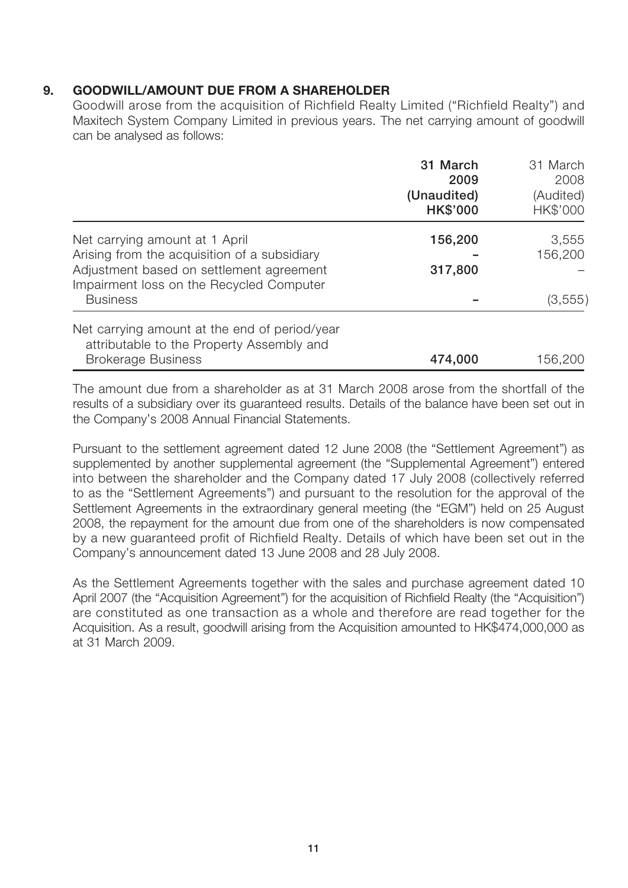### **9. GOODWILL/AMOUNT DUE FROM A SHAREHOLDER**

Goodwill arose from the acquisition of Richfield Realty Limited ("Richfield Realty") and Maxitech System Company Limited in previous years. The net carrying amount of goodwill can be analysed as follows:

|                                                                                                                                                                        | 31 March<br>2009<br>(Unaudited)<br><b>HK\$'000</b> | 31 March<br>2008<br>(Audited)<br>HK\$'000 |
|------------------------------------------------------------------------------------------------------------------------------------------------------------------------|----------------------------------------------------|-------------------------------------------|
| Net carrying amount at 1 April<br>Arising from the acquisition of a subsidiary<br>Adjustment based on settlement agreement<br>Impairment loss on the Recycled Computer | 156,200<br>317,800                                 | 3,555<br>156,200                          |
| <b>Business</b>                                                                                                                                                        |                                                    | (3, 555)                                  |
| Net carrying amount at the end of period/year<br>attributable to the Property Assembly and                                                                             |                                                    |                                           |
| <b>Brokerage Business</b>                                                                                                                                              | 474,000                                            | 156,200                                   |

The amount due from a shareholder as at 31 March 2008 arose from the shortfall of the results of a subsidiary over its guaranteed results. Details of the balance have been set out in the Company's 2008 Annual Financial Statements.

Pursuant to the settlement agreement dated 12 June 2008 (the "Settlement Agreement") as supplemented by another supplemental agreement (the "Supplemental Agreement") entered into between the shareholder and the Company dated 17 July 2008 (collectively referred to as the "Settlement Agreements") and pursuant to the resolution for the approval of the Settlement Agreements in the extraordinary general meeting (the "EGM") held on 25 August 2008, the repayment for the amount due from one of the shareholders is now compensated by a new guaranteed profit of Richfield Realty. Details of which have been set out in the Company's announcement dated 13 June 2008 and 28 July 2008.

As the Settlement Agreements together with the sales and purchase agreement dated 10 April 2007 (the "Acquisition Agreement") for the acquisition of Richfield Realty (the "Acquisition") are constituted as one transaction as a whole and therefore are read together for the Acquisition. As a result, goodwill arising from the Acquisition amounted to HK\$474,000,000 as at 31 March 2009.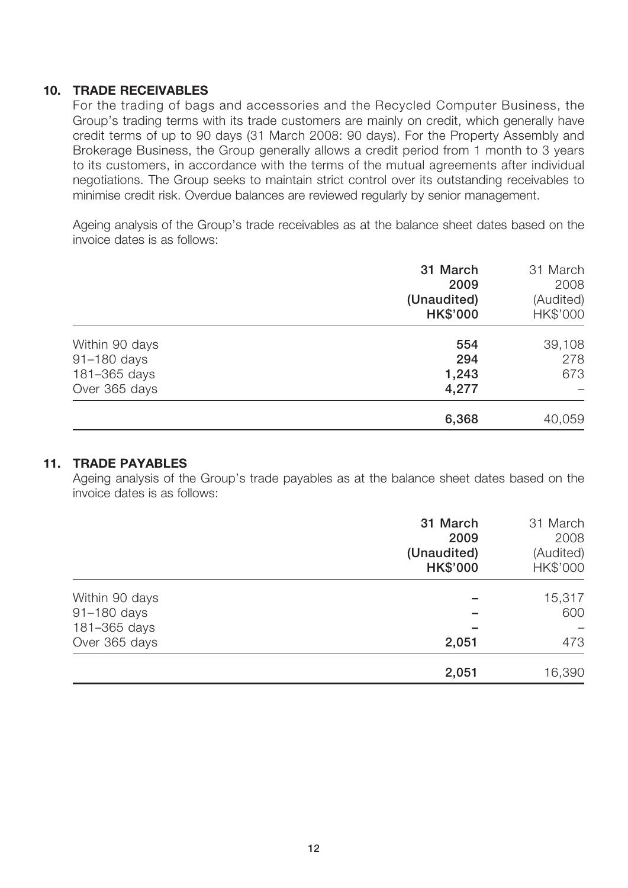#### **10. TRADE RECEIVABLES**

For the trading of bags and accessories and the Recycled Computer Business, the Group's trading terms with its trade customers are mainly on credit, which generally have credit terms of up to 90 days (31 March 2008: 90 days). For the Property Assembly and Brokerage Business, the Group generally allows a credit period from 1 month to 3 years to its customers, in accordance with the terms of the mutual agreements after individual negotiations. The Group seeks to maintain strict control over its outstanding receivables to minimise credit risk. Overdue balances are reviewed regularly by senior management.

Ageing analysis of the Group's trade receivables as at the balance sheet dates based on the invoice dates is as follows:

|                | 31 March<br>2009<br>(Unaudited)<br><b>HK\$'000</b> | 31 March<br>2008<br>(Audited)<br>HK\$'000 |
|----------------|----------------------------------------------------|-------------------------------------------|
| Within 90 days | 554                                                | 39,108                                    |
| 91-180 days    | 294                                                | 278                                       |
| 181-365 days   | 1,243                                              | 673                                       |
| Over 365 days  | 4,277                                              |                                           |
|                | 6,368                                              | 40,059                                    |

#### **11. TRADE PAYABLES**

Ageing analysis of the Group's trade payables as at the balance sheet dates based on the invoice dates is as follows:

|                | 31 March<br>2009<br>(Unaudited)<br><b>HK\$'000</b> | 31 March<br>2008<br>(Audited)<br>HK\$'000 |
|----------------|----------------------------------------------------|-------------------------------------------|
| Within 90 days |                                                    | 15,317                                    |
| 91-180 days    |                                                    | 600                                       |
| 181-365 days   |                                                    |                                           |
| Over 365 days  | 2,051                                              | 473                                       |
|                | 2,051                                              | 16,390                                    |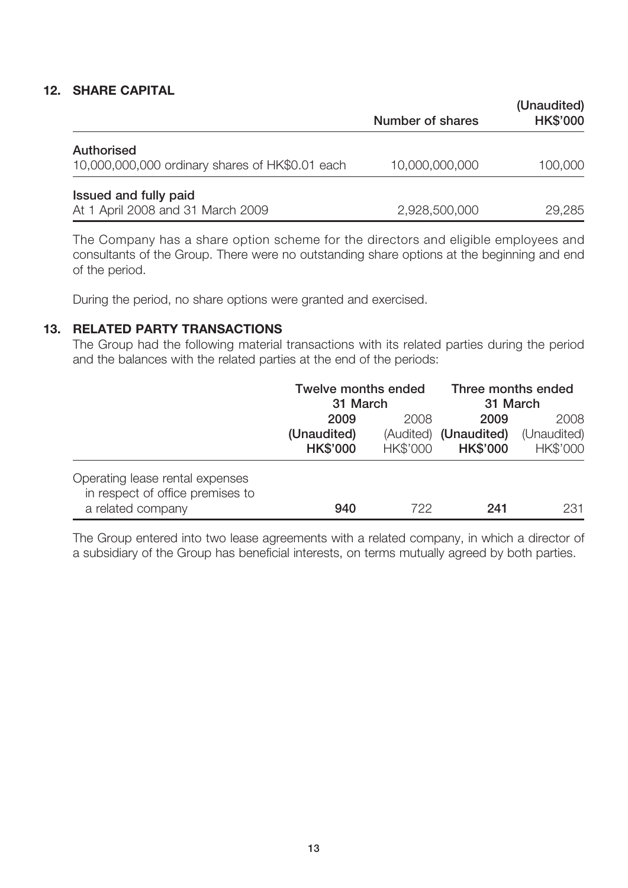#### **12. SHARE CAPITAL**

|                                                                      | Number of shares | (Unaudited)<br><b>HK\$'000</b> |
|----------------------------------------------------------------------|------------------|--------------------------------|
| <b>Authorised</b><br>10,000,000,000 ordinary shares of HK\$0.01 each | 10,000,000,000   | 100,000                        |
| Issued and fully paid<br>At 1 April 2008 and 31 March 2009           | 2,928,500,000    | 29,285                         |

The Company has a share option scheme for the directors and eligible employees and consultants of the Group. There were no outstanding share options at the beginning and end of the period.

During the period, no share options were granted and exercised.

#### **13. RELATED PARTY TRANSACTIONS**

The Group had the following material transactions with its related parties during the period and the balances with the related parties at the end of the periods:

|                                                                     | <b>Twelve months ended</b><br>31 March |          | Three months ended<br>31 March |             |
|---------------------------------------------------------------------|----------------------------------------|----------|--------------------------------|-------------|
|                                                                     |                                        |          |                                |             |
|                                                                     | 2009                                   | 2008     | 2009                           | 2008        |
|                                                                     | (Unaudited)                            |          | (Audited) (Unaudited)          | (Unaudited) |
|                                                                     | <b>HK\$'000</b>                        | HK\$'000 | <b>HK\$'000</b>                | HK\$'000    |
| Operating lease rental expenses<br>in respect of office premises to |                                        |          |                                |             |
| a related company                                                   | 940                                    | 722      | 241                            | 231         |

The Group entered into two lease agreements with a related company, in which a director of a subsidiary of the Group has beneficial interests, on terms mutually agreed by both parties.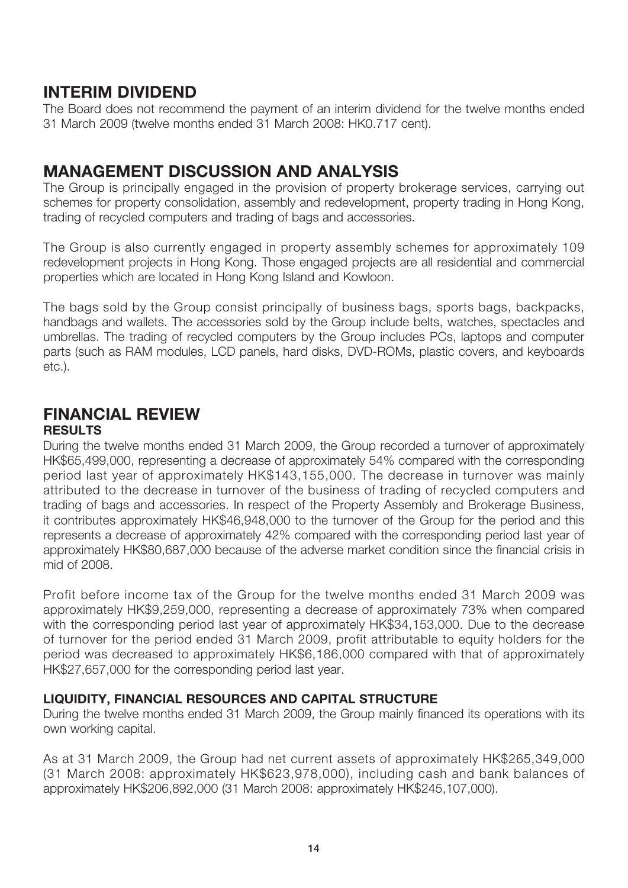## **INTERIM DIVIDEND**

The Board does not recommend the payment of an interim dividend for the twelve months ended 31 March 2009 (twelve months ended 31 March 2008: HK0.717 cent).

## **MANAGEMENT DISCUSSION AND ANALYSIS**

The Group is principally engaged in the provision of property brokerage services, carrying out schemes for property consolidation, assembly and redevelopment, property trading in Hong Kong, trading of recycled computers and trading of bags and accessories.

The Group is also currently engaged in property assembly schemes for approximately 109 redevelopment projects in Hong Kong. Those engaged projects are all residential and commercial properties which are located in Hong Kong Island and Kowloon.

The bags sold by the Group consist principally of business bags, sports bags, backpacks, handbags and wallets. The accessories sold by the Group include belts, watches, spectacles and umbrellas. The trading of recycled computers by the Group includes PCs, laptops and computer parts (such as RAM modules, LCD panels, hard disks, DVD-ROMs, plastic covers, and keyboards etc.).

### **FINANCIAL REVIEW**

#### **RESULTS**

During the twelve months ended 31 March 2009, the Group recorded a turnover of approximately HK\$65,499,000, representing a decrease of approximately 54% compared with the corresponding period last year of approximately HK\$143,155,000. The decrease in turnover was mainly attributed to the decrease in turnover of the business of trading of recycled computers and trading of bags and accessories. In respect of the Property Assembly and Brokerage Business, it contributes approximately HK\$46,948,000 to the turnover of the Group for the period and this represents a decrease of approximately 42% compared with the corresponding period last year of approximately HK\$80,687,000 because of the adverse market condition since the financial crisis in mid of 2008.

Profit before income tax of the Group for the twelve months ended 31 March 2009 was approximately HK\$9,259,000, representing a decrease of approximately 73% when compared with the corresponding period last year of approximately HK\$34,153,000. Due to the decrease of turnover for the period ended 31 March 2009, profit attributable to equity holders for the period was decreased to approximately HK\$6,186,000 compared with that of approximately HK\$27,657,000 for the corresponding period last year.

### **LIQUIDITY, FINANCIAL RESOURCES AND CAPITAL STRUCTURE**

During the twelve months ended 31 March 2009, the Group mainly financed its operations with its own working capital.

As at 31 March 2009, the Group had net current assets of approximately HK\$265,349,000 (31 March 2008: approximately HK\$623,978,000), including cash and bank balances of approximately HK\$206,892,000 (31 March 2008: approximately HK\$245,107,000).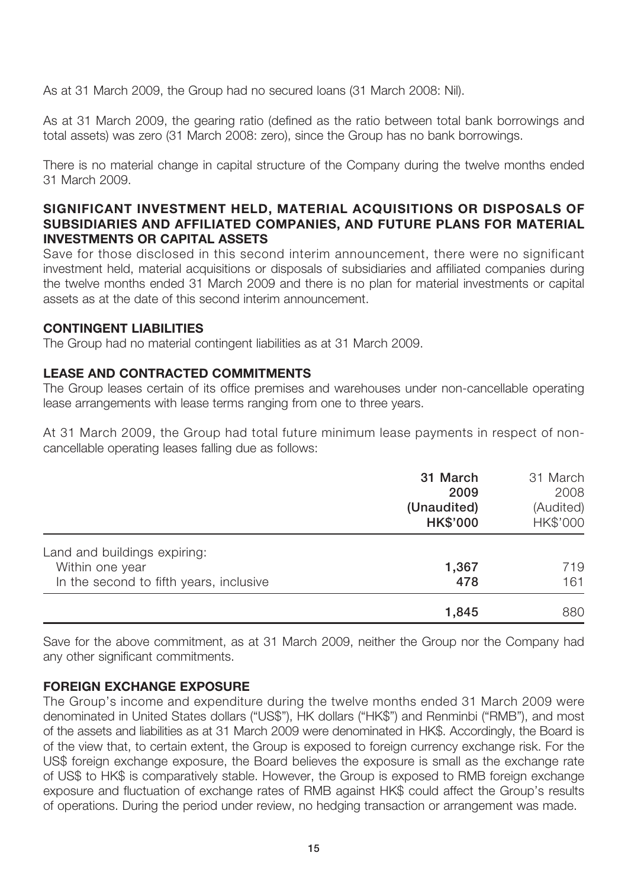As at 31 March 2009, the Group had no secured loans (31 March 2008: Nil).

As at 31 March 2009, the gearing ratio (defined as the ratio between total bank borrowings and total assets) was zero (31 March 2008: zero), since the Group has no bank borrowings.

There is no material change in capital structure of the Company during the twelve months ended 31 March 2009.

#### **SIGNIFICANT INVESTMENT HELD, MATERIAL ACQUISITIONS OR DISPOSALS OF SUBSIDIARIES AND AFFILIATED COMPANIES, AND FUTURE PLANS FOR MATERIAL INVESTMENTS OR CAPITAL ASSETS**

Save for those disclosed in this second interim announcement, there were no significant investment held, material acquisitions or disposals of subsidiaries and affiliated companies during the twelve months ended 31 March 2009 and there is no plan for material investments or capital assets as at the date of this second interim announcement.

#### **CONTINGENT LIABILITIES**

The Group had no material contingent liabilities as at 31 March 2009.

#### **LEASE AND CONTRACTED COMMITMENTS**

The Group leases certain of its office premises and warehouses under non-cancellable operating lease arrangements with lease terms ranging from one to three years.

At 31 March 2009, the Group had total future minimum lease payments in respect of noncancellable operating leases falling due as follows:

|                                         | 31 March<br>2009<br>(Unaudited)<br><b>HK\$'000</b> | 31 March<br>2008<br>(Audited)<br>HK\$'000 |
|-----------------------------------------|----------------------------------------------------|-------------------------------------------|
| Land and buildings expiring:            |                                                    |                                           |
| Within one year                         | 1,367                                              | 719                                       |
| In the second to fifth years, inclusive | 478                                                | 161                                       |
|                                         | 1,845                                              | 880                                       |

Save for the above commitment, as at 31 March 2009, neither the Group nor the Company had any other significant commitments.

### **FOREIGN EXCHANGE EXPOSURE**

The Group's income and expenditure during the twelve months ended 31 March 2009 were denominated in United States dollars ("US\$"), HK dollars ("HK\$") and Renminbi ("RMB"), and most of the assets and liabilities as at 31 March 2009 were denominated in HK\$. Accordingly, the Board is of the view that, to certain extent, the Group is exposed to foreign currency exchange risk. For the US\$ foreign exchange exposure, the Board believes the exposure is small as the exchange rate of US\$ to HK\$ is comparatively stable. However, the Group is exposed to RMB foreign exchange exposure and fluctuation of exchange rates of RMB against HK\$ could affect the Group's results of operations. During the period under review, no hedging transaction or arrangement was made.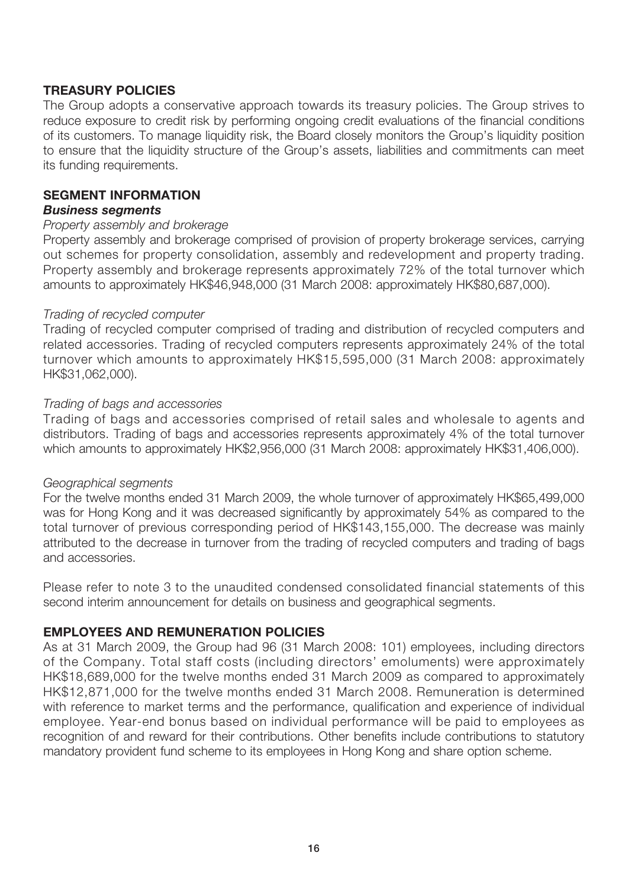#### **TREASURY POLICIES**

The Group adopts a conservative approach towards its treasury policies. The Group strives to reduce exposure to credit risk by performing ongoing credit evaluations of the financial conditions of its customers. To manage liquidity risk, the Board closely monitors the Group's liquidity position to ensure that the liquidity structure of the Group's assets, liabilities and commitments can meet its funding requirements.

#### **SEGMENT INFORMATION**

#### *Business segments*

#### *Property assembly and brokerage*

Property assembly and brokerage comprised of provision of property brokerage services, carrying out schemes for property consolidation, assembly and redevelopment and property trading. Property assembly and brokerage represents approximately 72% of the total turnover which amounts to approximately HK\$46,948,000 (31 March 2008: approximately HK\$80,687,000).

#### *Trading of recycled computer*

Trading of recycled computer comprised of trading and distribution of recycled computers and related accessories. Trading of recycled computers represents approximately 24% of the total turnover which amounts to approximately HK\$15,595,000 (31 March 2008: approximately HK\$31,062,000).

#### *Trading of bags and accessories*

Trading of bags and accessories comprised of retail sales and wholesale to agents and distributors. Trading of bags and accessories represents approximately 4% of the total turnover which amounts to approximately HK\$2,956,000 (31 March 2008: approximately HK\$31,406,000).

#### *Geographical segments*

For the twelve months ended 31 March 2009, the whole turnover of approximately HK\$65,499,000 was for Hong Kong and it was decreased significantly by approximately 54% as compared to the total turnover of previous corresponding period of HK\$143,155,000. The decrease was mainly attributed to the decrease in turnover from the trading of recycled computers and trading of bags and accessories.

Please refer to note 3 to the unaudited condensed consolidated financial statements of this second interim announcement for details on business and geographical segments.

#### **EMPLOYEES AND REMUNERATION POLICIES**

As at 31 March 2009, the Group had 96 (31 March 2008: 101) employees, including directors of the Company. Total staff costs (including directors' emoluments) were approximately HK\$18,689,000 for the twelve months ended 31 March 2009 as compared to approximately HK\$12,871,000 for the twelve months ended 31 March 2008. Remuneration is determined with reference to market terms and the performance, qualification and experience of individual employee. Year-end bonus based on individual performance will be paid to employees as recognition of and reward for their contributions. Other benefits include contributions to statutory mandatory provident fund scheme to its employees in Hong Kong and share option scheme.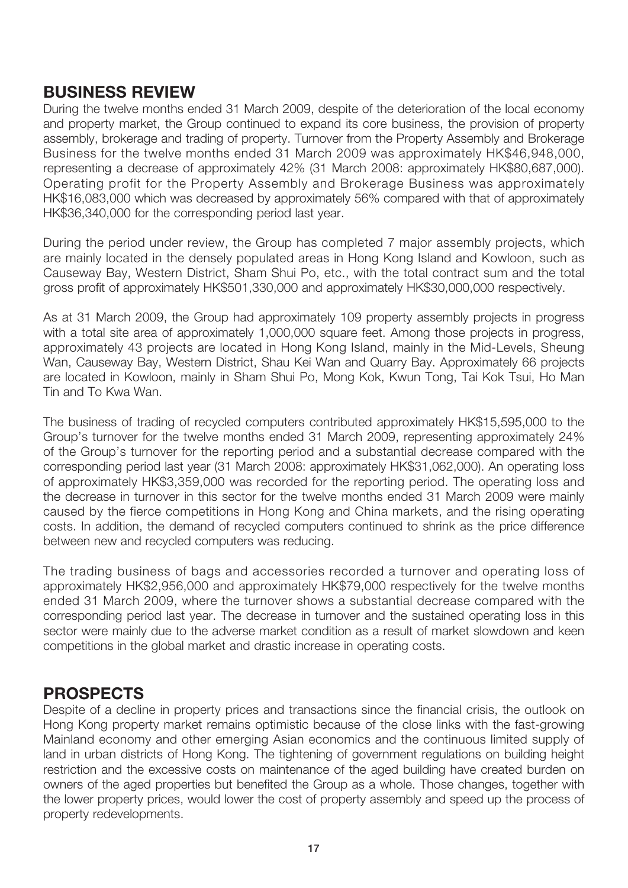### **BUSINESS REVIEW**

During the twelve months ended 31 March 2009, despite of the deterioration of the local economy and property market, the Group continued to expand its core business, the provision of property assembly, brokerage and trading of property. Turnover from the Property Assembly and Brokerage Business for the twelve months ended 31 March 2009 was approximately HK\$46,948,000, representing a decrease of approximately 42% (31 March 2008: approximately HK\$80,687,000). Operating profit for the Property Assembly and Brokerage Business was approximately HK\$16,083,000 which was decreased by approximately 56% compared with that of approximately HK\$36,340,000 for the corresponding period last year.

During the period under review, the Group has completed 7 major assembly projects, which are mainly located in the densely populated areas in Hong Kong Island and Kowloon, such as Causeway Bay, Western District, Sham Shui Po, etc., with the total contract sum and the total gross profit of approximately HK\$501,330,000 and approximately HK\$30,000,000 respectively.

As at 31 March 2009, the Group had approximately 109 property assembly projects in progress with a total site area of approximately 1,000,000 square feet. Among those projects in progress, approximately 43 projects are located in Hong Kong Island, mainly in the Mid-Levels, Sheung Wan, Causeway Bay, Western District, Shau Kei Wan and Quarry Bay. Approximately 66 projects are located in Kowloon, mainly in Sham Shui Po, Mong Kok, Kwun Tong, Tai Kok Tsui, Ho Man Tin and To Kwa Wan.

The business of trading of recycled computers contributed approximately HK\$15,595,000 to the Group's turnover for the twelve months ended 31 March 2009, representing approximately 24% of the Group's turnover for the reporting period and a substantial decrease compared with the corresponding period last year (31 March 2008: approximately HK\$31,062,000). An operating loss of approximately HK\$3,359,000 was recorded for the reporting period. The operating loss and the decrease in turnover in this sector for the twelve months ended 31 March 2009 were mainly caused by the fierce competitions in Hong Kong and China markets, and the rising operating costs. In addition, the demand of recycled computers continued to shrink as the price difference between new and recycled computers was reducing.

The trading business of bags and accessories recorded a turnover and operating loss of approximately HK\$2,956,000 and approximately HK\$79,000 respectively for the twelve months ended 31 March 2009, where the turnover shows a substantial decrease compared with the corresponding period last year. The decrease in turnover and the sustained operating loss in this sector were mainly due to the adverse market condition as a result of market slowdown and keen competitions in the global market and drastic increase in operating costs.

### **PROSPECTS**

Despite of a decline in property prices and transactions since the financial crisis, the outlook on Hong Kong property market remains optimistic because of the close links with the fast-growing Mainland economy and other emerging Asian economics and the continuous limited supply of land in urban districts of Hong Kong. The tightening of government regulations on building height restriction and the excessive costs on maintenance of the aged building have created burden on owners of the aged properties but benefited the Group as a whole. Those changes, together with the lower property prices, would lower the cost of property assembly and speed up the process of property redevelopments.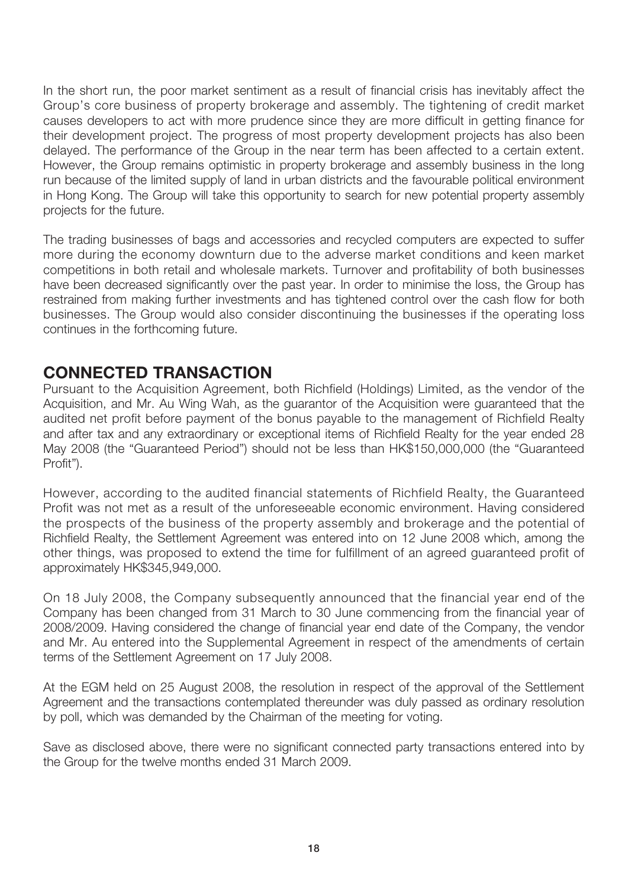In the short run, the poor market sentiment as a result of financial crisis has inevitably affect the Group's core business of property brokerage and assembly. The tightening of credit market causes developers to act with more prudence since they are more difficult in getting finance for their development project. The progress of most property development projects has also been delayed. The performance of the Group in the near term has been affected to a certain extent. However, the Group remains optimistic in property brokerage and assembly business in the long run because of the limited supply of land in urban districts and the favourable political environment in Hong Kong. The Group will take this opportunity to search for new potential property assembly projects for the future.

The trading businesses of bags and accessories and recycled computers are expected to suffer more during the economy downturn due to the adverse market conditions and keen market competitions in both retail and wholesale markets. Turnover and profitability of both businesses have been decreased significantly over the past year. In order to minimise the loss, the Group has restrained from making further investments and has tightened control over the cash flow for both businesses. The Group would also consider discontinuing the businesses if the operating loss continues in the forthcoming future.

### **CONNECTED TRANSACTION**

Pursuant to the Acquisition Agreement, both Richfield (Holdings) Limited, as the vendor of the Acquisition, and Mr. Au Wing Wah, as the guarantor of the Acquisition were guaranteed that the audited net profit before payment of the bonus payable to the management of Richfield Realty and after tax and any extraordinary or exceptional items of Richfield Realty for the year ended 28 May 2008 (the "Guaranteed Period") should not be less than HK\$150,000,000 (the "Guaranteed Profit").

However, according to the audited financial statements of Richfield Realty, the Guaranteed Profit was not met as a result of the unforeseeable economic environment. Having considered the prospects of the business of the property assembly and brokerage and the potential of Richfield Realty, the Settlement Agreement was entered into on 12 June 2008 which, among the other things, was proposed to extend the time for fulfillment of an agreed guaranteed profit of approximately HK\$345,949,000.

On 18 July 2008, the Company subsequently announced that the financial year end of the Company has been changed from 31 March to 30 June commencing from the financial year of 2008/2009. Having considered the change of financial year end date of the Company, the vendor and Mr. Au entered into the Supplemental Agreement in respect of the amendments of certain terms of the Settlement Agreement on 17 July 2008.

At the EGM held on 25 August 2008, the resolution in respect of the approval of the Settlement Agreement and the transactions contemplated thereunder was duly passed as ordinary resolution by poll, which was demanded by the Chairman of the meeting for voting.

Save as disclosed above, there were no significant connected party transactions entered into by the Group for the twelve months ended 31 March 2009.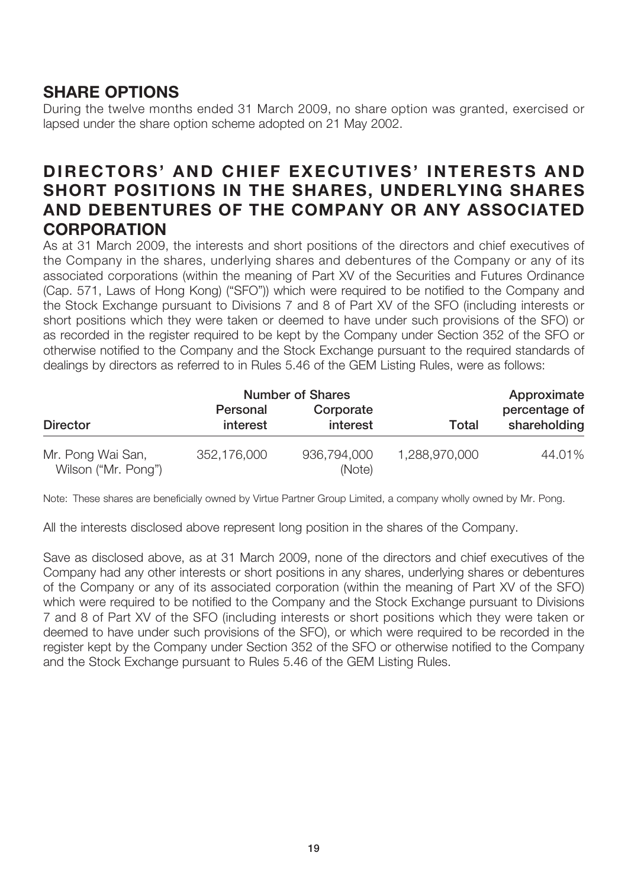## **SHARE OPTIONS**

During the twelve months ended 31 March 2009, no share option was granted, exercised or lapsed under the share option scheme adopted on 21 May 2002.

## **DIRECTORS' AND CHIEF EXECUTIVES' INTERESTS AND SHORT POSITIONS IN THE SHARES, UNDERLYING SHARES AND DEBENTURES OF THE COMPANY OR ANY ASSOCIATED CORPORATION**

As at 31 March 2009, the interests and short positions of the directors and chief executives of the Company in the shares, underlying shares and debentures of the Company or any of its associated corporations (within the meaning of Part XV of the Securities and Futures Ordinance (Cap. 571, Laws of Hong Kong) ("SFO")) which were required to be notified to the Company and the Stock Exchange pursuant to Divisions 7 and 8 of Part XV of the SFO (including interests or short positions which they were taken or deemed to have under such provisions of the SFO) or as recorded in the register required to be kept by the Company under Section 352 of the SFO or otherwise notified to the Company and the Stock Exchange pursuant to the required standards of dealings by directors as referred to in Rules 5.46 of the GEM Listing Rules, were as follows:

|                                          | <b>Number of Shares</b> |                       |               | Approximate                   |
|------------------------------------------|-------------------------|-----------------------|---------------|-------------------------------|
| <b>Director</b>                          | Personal<br>interest    | Corporate<br>interest | Total         | percentage of<br>shareholding |
| Mr. Pong Wai San,<br>Wilson ("Mr. Pong") | 352,176,000             | 936,794,000<br>(Note) | 1,288,970,000 | 44.01%                        |

Note: These shares are beneficially owned by Virtue Partner Group Limited, a company wholly owned by Mr. Pong.

All the interests disclosed above represent long position in the shares of the Company.

Save as disclosed above, as at 31 March 2009, none of the directors and chief executives of the Company had any other interests or short positions in any shares, underlying shares or debentures of the Company or any of its associated corporation (within the meaning of Part XV of the SFO) which were required to be notified to the Company and the Stock Exchange pursuant to Divisions 7 and 8 of Part XV of the SFO (including interests or short positions which they were taken or deemed to have under such provisions of the SFO), or which were required to be recorded in the register kept by the Company under Section 352 of the SFO or otherwise notified to the Company and the Stock Exchange pursuant to Rules 5.46 of the GEM Listing Rules.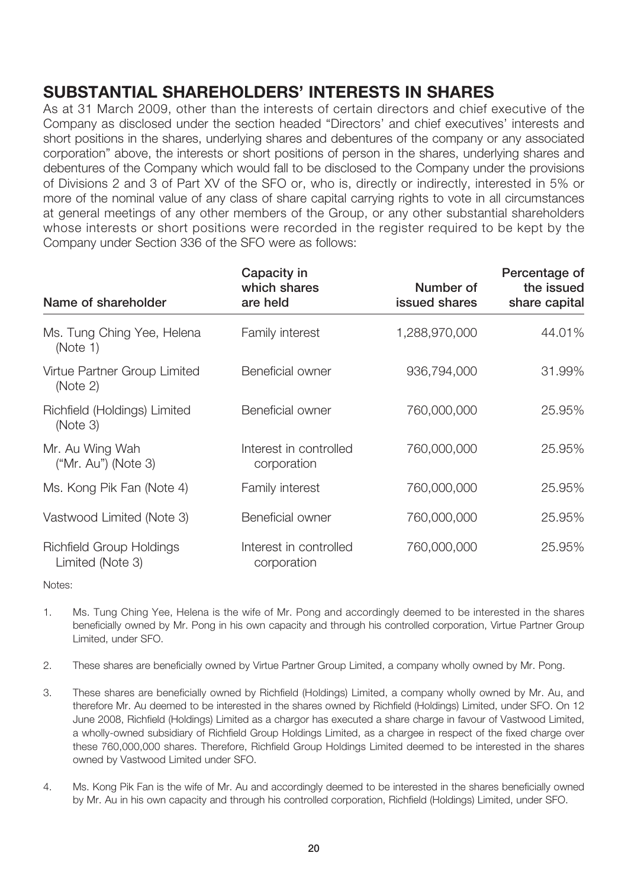# **SUBSTANTIAL SHAREHOLDERS' INTERESTS IN SHARES**

As at 31 March 2009, other than the interests of certain directors and chief executive of the Company as disclosed under the section headed "Directors' and chief executives' interests and short positions in the shares, underlying shares and debentures of the company or any associated corporation" above, the interests or short positions of person in the shares, underlying shares and debentures of the Company which would fall to be disclosed to the Company under the provisions of Divisions 2 and 3 of Part XV of the SFO or, who is, directly or indirectly, interested in 5% or more of the nominal value of any class of share capital carrying rights to vote in all circumstances at general meetings of any other members of the Group, or any other substantial shareholders whose interests or short positions were recorded in the register required to be kept by the Company under Section 336 of the SFO were as follows:

|                                                     | Capacity in<br>which shares           | Number of     | Percentage of<br>the issued |
|-----------------------------------------------------|---------------------------------------|---------------|-----------------------------|
| Name of shareholder                                 | are held                              | issued shares | share capital               |
| Ms. Tung Ching Yee, Helena<br>(Note 1)              | Family interest                       | 1,288,970,000 | 44.01%                      |
| Virtue Partner Group Limited<br>(Note 2)            | Beneficial owner                      | 936,794,000   | 31.99%                      |
| Richfield (Holdings) Limited<br>(Note 3)            | Beneficial owner                      | 760,000,000   | 25.95%                      |
| Mr. Au Wing Wah<br>$('Mr. Au")$ (Note 3)            | Interest in controlled<br>corporation | 760,000,000   | 25.95%                      |
| Ms. Kong Pik Fan (Note 4)                           | Family interest                       | 760,000,000   | 25.95%                      |
| Vastwood Limited (Note 3)                           | Beneficial owner                      | 760,000,000   | 25.95%                      |
| <b>Richfield Group Holdings</b><br>Limited (Note 3) | Interest in controlled<br>corporation | 760,000,000   | 25.95%                      |

Notes:

- 1. Ms. Tung Ching Yee, Helena is the wife of Mr. Pong and accordingly deemed to be interested in the shares beneficially owned by Mr. Pong in his own capacity and through his controlled corporation, Virtue Partner Group Limited, under SFO.
- 2. These shares are beneficially owned by Virtue Partner Group Limited, a company wholly owned by Mr. Pong.
- 3. These shares are beneficially owned by Richfield (Holdings) Limited, a company wholly owned by Mr. Au, and therefore Mr. Au deemed to be interested in the shares owned by Richfield (Holdings) Limited, under SFO. On 12 June 2008, Richfield (Holdings) Limited as a chargor has executed a share charge in favour of Vastwood Limited, a wholly-owned subsidiary of Richfield Group Holdings Limited, as a chargee in respect of the fixed charge over these 760,000,000 shares. Therefore, Richfield Group Holdings Limited deemed to be interested in the shares owned by Vastwood Limited under SFO.
- 4. Ms. Kong Pik Fan is the wife of Mr. Au and accordingly deemed to be interested in the shares beneficially owned by Mr. Au in his own capacity and through his controlled corporation, Richfield (Holdings) Limited, under SFO.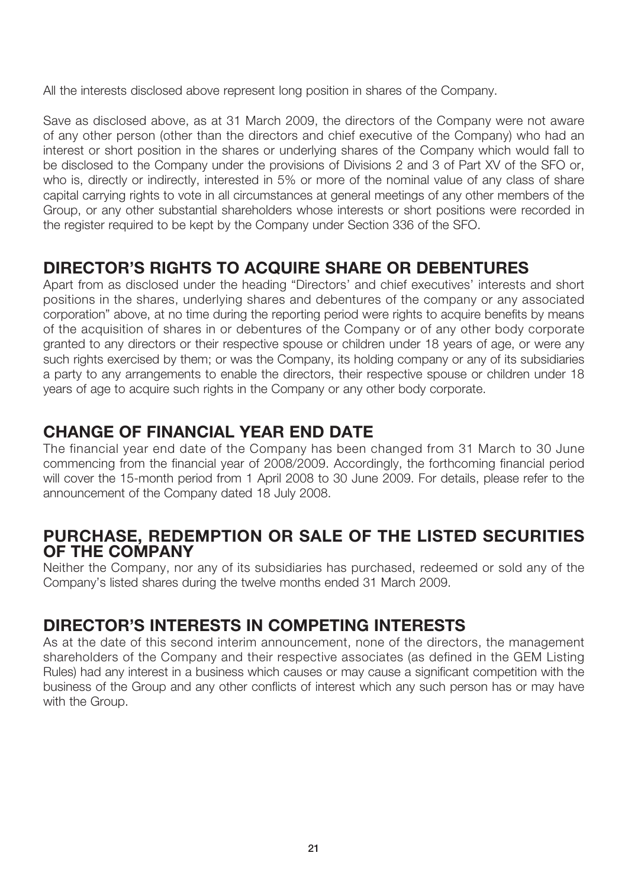All the interests disclosed above represent long position in shares of the Company.

Save as disclosed above, as at 31 March 2009, the directors of the Company were not aware of any other person (other than the directors and chief executive of the Company) who had an interest or short position in the shares or underlying shares of the Company which would fall to be disclosed to the Company under the provisions of Divisions 2 and 3 of Part XV of the SFO or, who is, directly or indirectly, interested in 5% or more of the nominal value of any class of share capital carrying rights to vote in all circumstances at general meetings of any other members of the Group, or any other substantial shareholders whose interests or short positions were recorded in the register required to be kept by the Company under Section 336 of the SFO.

# **DIRECTOR'S RIGHTS TO ACQUIRE SHARE OR DEBENTURES**

Apart from as disclosed under the heading "Directors' and chief executives' interests and short positions in the shares, underlying shares and debentures of the company or any associated corporation" above, at no time during the reporting period were rights to acquire benefits by means of the acquisition of shares in or debentures of the Company or of any other body corporate granted to any directors or their respective spouse or children under 18 years of age, or were any such rights exercised by them; or was the Company, its holding company or any of its subsidiaries a party to any arrangements to enable the directors, their respective spouse or children under 18 years of age to acquire such rights in the Company or any other body corporate.

## **CHANGE OF FINANCIAL YEAR END DATE**

The financial year end date of the Company has been changed from 31 March to 30 June commencing from the financial year of 2008/2009. Accordingly, the forthcoming financial period will cover the 15-month period from 1 April 2008 to 30 June 2009. For details, please refer to the announcement of the Company dated 18 July 2008.

### **PURCHASE, REDEMPTION OR SALE OF THE LISTED SECURITIES OF THE COMPANY**

Neither the Company, nor any of its subsidiaries has purchased, redeemed or sold any of the Company's listed shares during the twelve months ended 31 March 2009.

## **DIRECTOR'S INTERESTS IN COMPETING INTERESTS**

As at the date of this second interim announcement, none of the directors, the management shareholders of the Company and their respective associates (as defined in the GEM Listing Rules) had any interest in a business which causes or may cause a significant competition with the business of the Group and any other conflicts of interest which any such person has or may have with the Group.